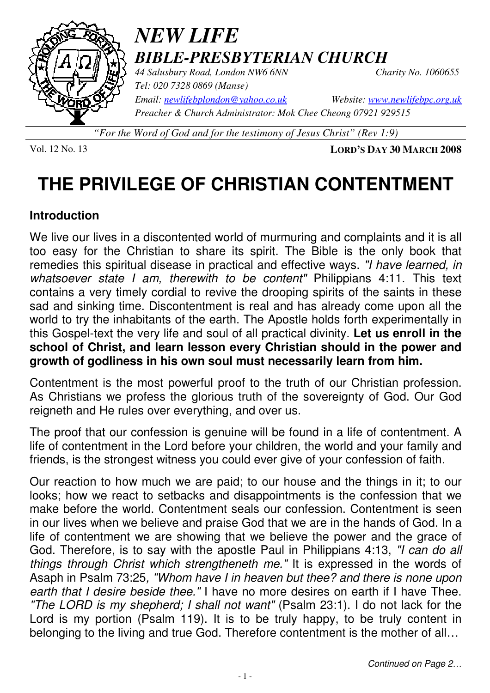

# *NEW LIFE BIBLE-PRESBYTERIAN CHURCH 44 Salusbury Road, London NW6 6NN Charity No. 1060655*

*Tel: 020 7328 0869 (Manse) Preacher & Church Administrator: Mok Chee Cheong 07921 929515* 

*Email: newlifebplondon@yahoo.co.uk Website: www.newlifebpc.org.uk*

*"For the Word of God and for the testimony of Jesus Christ" (Rev 1:9)*

Vol. 12 No. 13 **LORD'S DAY 30 MARCH 2008**

# **THE PRIVILEGE OF CHRISTIAN CONTENTMENT**

### **Introduction**

We live our lives in a discontented world of murmuring and complaints and it is all too easy for the Christian to share its spirit. The Bible is the only book that remedies this spiritual disease in practical and effective ways. "I have learned, in whatsoever state I am, therewith to be content" Philippians 4:11. This text contains a very timely cordial to revive the drooping spirits of the saints in these sad and sinking time. Discontentment is real and has already come upon all the world to try the inhabitants of the earth. The Apostle holds forth experimentally in this Gospel-text the very life and soul of all practical divinity. **Let us enroll in the school of Christ, and learn lesson every Christian should in the power and growth of godliness in his own soul must necessarily learn from him.**

Contentment is the most powerful proof to the truth of our Christian profession. As Christians we profess the glorious truth of the sovereignty of God. Our God reigneth and He rules over everything, and over us.

The proof that our confession is genuine will be found in a life of contentment. A life of contentment in the Lord before your children, the world and your family and friends, is the strongest witness you could ever give of your confession of faith.

Our reaction to how much we are paid; to our house and the things in it; to our looks; how we react to setbacks and disappointments is the confession that we make before the world. Contentment seals our confession. Contentment is seen in our lives when we believe and praise God that we are in the hands of God. In a life of contentment we are showing that we believe the power and the grace of God. Therefore, is to say with the apostle Paul in Philippians 4:13, "I can do all things through Christ which strengtheneth me." It is expressed in the words of Asaph in Psalm 73:25, "Whom have I in heaven but thee? and there is none upon earth that I desire beside thee." I have no more desires on earth if I have Thee. "The LORD is my shepherd; I shall not want" (Psalm 23:1). I do not lack for the Lord is my portion (Psalm 119). It is to be truly happy, to be truly content in belonging to the living and true God. Therefore contentment is the mother of all…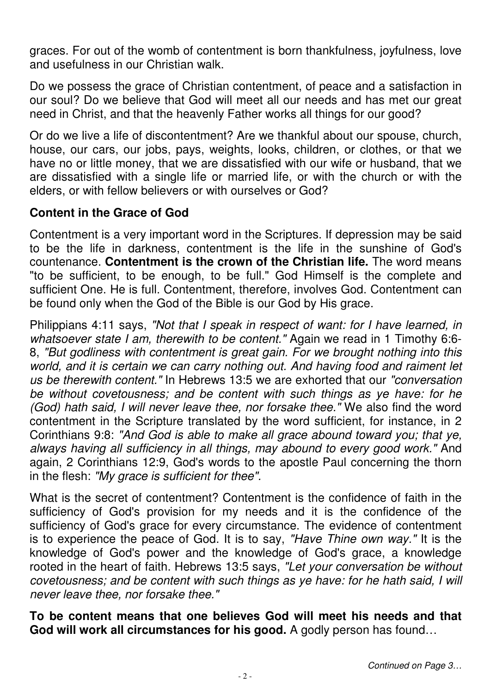graces. For out of the womb of contentment is born thankfulness, joyfulness, love and usefulness in our Christian walk.

Do we possess the grace of Christian contentment, of peace and a satisfaction in our soul? Do we believe that God will meet all our needs and has met our great need in Christ, and that the heavenly Father works all things for our good?

Or do we live a life of discontentment? Are we thankful about our spouse, church, house, our cars, our jobs, pays, weights, looks, children, or clothes, or that we have no or little money, that we are dissatisfied with our wife or husband, that we are dissatisfied with a single life or married life, or with the church or with the elders, or with fellow believers or with ourselves or God?

# **Content in the Grace of God**

Contentment is a very important word in the Scriptures. If depression may be said to be the life in darkness, contentment is the life in the sunshine of God's countenance. **Contentment is the crown of the Christian life.** The word means "to be sufficient, to be enough, to be full." God Himself is the complete and sufficient One. He is full. Contentment, therefore, involves God. Contentment can be found only when the God of the Bible is our God by His grace.

Philippians 4:11 says, "Not that I speak in respect of want: for I have learned, in whatsoever state I am, therewith to be content." Again we read in 1 Timothy 6:6-8, "But godliness with contentment is great gain. For we brought nothing into this world, and it is certain we can carry nothing out. And having food and raiment let us be therewith content." In Hebrews 13:5 we are exhorted that our "conversation be without covetousness; and be content with such things as ye have: for he (God) hath said, I will never leave thee, nor forsake thee." We also find the word contentment in the Scripture translated by the word sufficient, for instance, in 2 Corinthians 9:8: "And God is able to make all grace abound toward you; that ye, always having all sufficiency in all things, may abound to every good work." And again, 2 Corinthians 12:9, God's words to the apostle Paul concerning the thorn in the flesh: "My grace is sufficient for thee".

What is the secret of contentment? Contentment is the confidence of faith in the sufficiency of God's provision for my needs and it is the confidence of the sufficiency of God's grace for every circumstance. The evidence of contentment is to experience the peace of God. It is to say, "Have Thine own way." It is the knowledge of God's power and the knowledge of God's grace, a knowledge rooted in the heart of faith. Hebrews 13:5 says, "Let your conversation be without covetousness; and be content with such things as ye have: for he hath said, I will never leave thee, nor forsake thee."

**To be content means that one believes God will meet his needs and that God will work all circumstances for his good.** A godly person has found…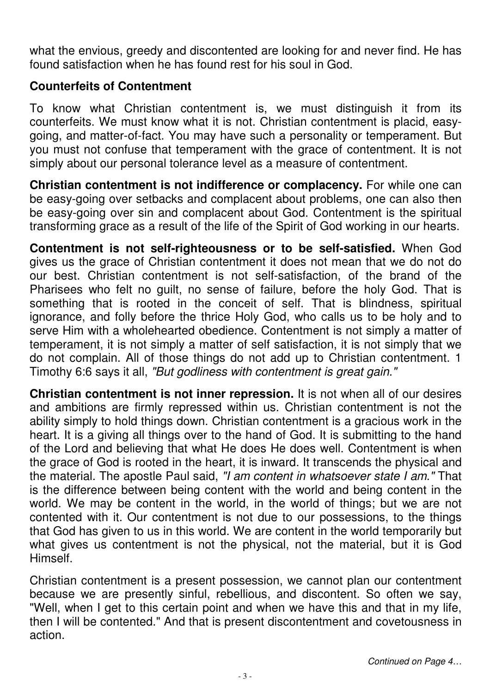what the envious, greedy and discontented are looking for and never find. He has found satisfaction when he has found rest for his soul in God.

# **Counterfeits of Contentment**

To know what Christian contentment is, we must distinguish it from its counterfeits. We must know what it is not. Christian contentment is placid, easygoing, and matter-of-fact. You may have such a personality or temperament. But you must not confuse that temperament with the grace of contentment. It is not simply about our personal tolerance level as a measure of contentment.

**Christian contentment is not indifference or complacency.** For while one can be easy-going over setbacks and complacent about problems, one can also then be easy-going over sin and complacent about God. Contentment is the spiritual transforming grace as a result of the life of the Spirit of God working in our hearts.

**Contentment is not self-righteousness or to be self-satisfied.** When God gives us the grace of Christian contentment it does not mean that we do not do our best. Christian contentment is not self-satisfaction, of the brand of the Pharisees who felt no guilt, no sense of failure, before the holy God. That is something that is rooted in the conceit of self. That is blindness, spiritual ignorance, and folly before the thrice Holy God, who calls us to be holy and to serve Him with a wholehearted obedience. Contentment is not simply a matter of temperament, it is not simply a matter of self satisfaction, it is not simply that we do not complain. All of those things do not add up to Christian contentment. 1 Timothy 6:6 says it all, "But godliness with contentment is great gain."

**Christian contentment is not inner repression.** It is not when all of our desires and ambitions are firmly repressed within us. Christian contentment is not the ability simply to hold things down. Christian contentment is a gracious work in the heart. It is a giving all things over to the hand of God. It is submitting to the hand of the Lord and believing that what He does He does well. Contentment is when the grace of God is rooted in the heart, it is inward. It transcends the physical and the material. The apostle Paul said, "I am content in whatsoever state I am." That is the difference between being content with the world and being content in the world. We may be content in the world, in the world of things; but we are not contented with it. Our contentment is not due to our possessions, to the things that God has given to us in this world. We are content in the world temporarily but what gives us contentment is not the physical, not the material, but it is God Himself.

Christian contentment is a present possession, we cannot plan our contentment because we are presently sinful, rebellious, and discontent. So often we say, "Well, when I get to this certain point and when we have this and that in my life, then I will be contented." And that is present discontentment and covetousness in action.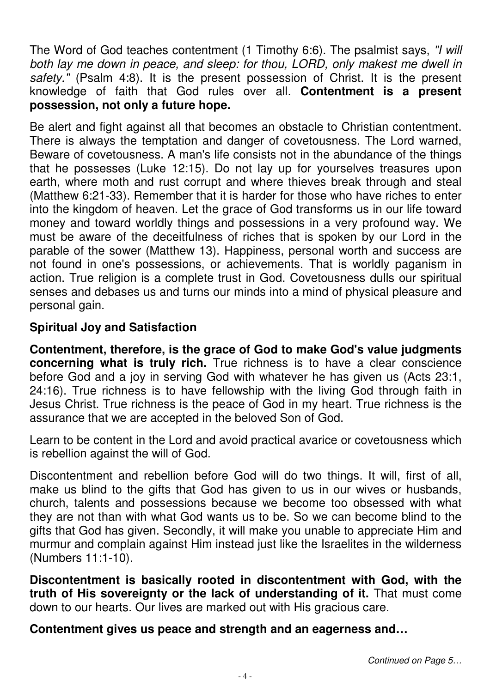The Word of God teaches contentment (1 Timothy 6:6). The psalmist says, "I will both lay me down in peace, and sleep: for thou, LORD, only makest me dwell in safety." (Psalm 4:8). It is the present possession of Christ. It is the present knowledge of faith that God rules over all. **Contentment is a present possession, not only a future hope.** 

Be alert and fight against all that becomes an obstacle to Christian contentment. There is always the temptation and danger of covetousness. The Lord warned, Beware of covetousness. A man's life consists not in the abundance of the things that he possesses (Luke 12:15). Do not lay up for yourselves treasures upon earth, where moth and rust corrupt and where thieves break through and steal (Matthew 6:21-33). Remember that it is harder for those who have riches to enter into the kingdom of heaven. Let the grace of God transforms us in our life toward money and toward worldly things and possessions in a very profound way. We must be aware of the deceitfulness of riches that is spoken by our Lord in the parable of the sower (Matthew 13). Happiness, personal worth and success are not found in one's possessions, or achievements. That is worldly paganism in action. True religion is a complete trust in God. Covetousness dulls our spiritual senses and debases us and turns our minds into a mind of physical pleasure and personal gain.

# **Spiritual Joy and Satisfaction**

**Contentment, therefore, is the grace of God to make God's value judgments concerning what is truly rich.** True richness is to have a clear conscience before God and a joy in serving God with whatever he has given us (Acts 23:1, 24:16). True richness is to have fellowship with the living God through faith in Jesus Christ. True richness is the peace of God in my heart. True richness is the assurance that we are accepted in the beloved Son of God.

Learn to be content in the Lord and avoid practical avarice or covetousness which is rebellion against the will of God.

Discontentment and rebellion before God will do two things. It will, first of all, make us blind to the gifts that God has given to us in our wives or husbands, church, talents and possessions because we become too obsessed with what they are not than with what God wants us to be. So we can become blind to the gifts that God has given. Secondly, it will make you unable to appreciate Him and murmur and complain against Him instead just like the Israelites in the wilderness (Numbers 11:1-10).

**Discontentment is basically rooted in discontentment with God, with the truth of His sovereignty or the lack of understanding of it.** That must come down to our hearts. Our lives are marked out with His gracious care.

**Contentment gives us peace and strength and an eagerness and…**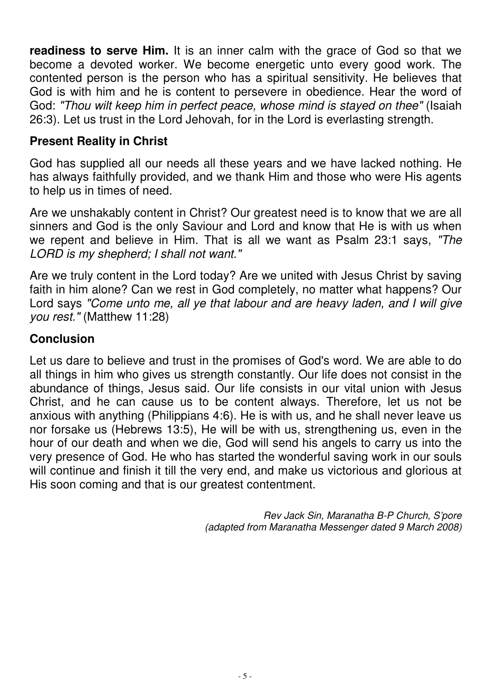**readiness to serve Him.** It is an inner calm with the grace of God so that we become a devoted worker. We become energetic unto every good work. The contented person is the person who has a spiritual sensitivity. He believes that God is with him and he is content to persevere in obedience. Hear the word of God: "Thou wilt keep him in perfect peace, whose mind is stayed on thee" (Isaiah 26:3). Let us trust in the Lord Jehovah, for in the Lord is everlasting strength.

### **Present Reality in Christ**

God has supplied all our needs all these years and we have lacked nothing. He has always faithfully provided, and we thank Him and those who were His agents to help us in times of need.

Are we unshakably content in Christ? Our greatest need is to know that we are all sinners and God is the only Saviour and Lord and know that He is with us when we repent and believe in Him. That is all we want as Psalm 23:1 says, "The LORD is my shepherd; I shall not want."

Are we truly content in the Lord today? Are we united with Jesus Christ by saving faith in him alone? Can we rest in God completely, no matter what happens? Our Lord says "Come unto me, all ye that labour and are heavy laden, and I will give you rest." (Matthew 11:28)

# **Conclusion**

Let us dare to believe and trust in the promises of God's word. We are able to do all things in him who gives us strength constantly. Our life does not consist in the abundance of things, Jesus said. Our life consists in our vital union with Jesus Christ, and he can cause us to be content always. Therefore, let us not be anxious with anything (Philippians 4:6). He is with us, and he shall never leave us nor forsake us (Hebrews 13:5), He will be with us, strengthening us, even in the hour of our death and when we die, God will send his angels to carry us into the very presence of God. He who has started the wonderful saving work in our souls will continue and finish it till the very end, and make us victorious and glorious at His soon coming and that is our greatest contentment.

> Rev Jack Sin, Maranatha B-P Church, S'pore (adapted from Maranatha Messenger dated 9 March 2008)